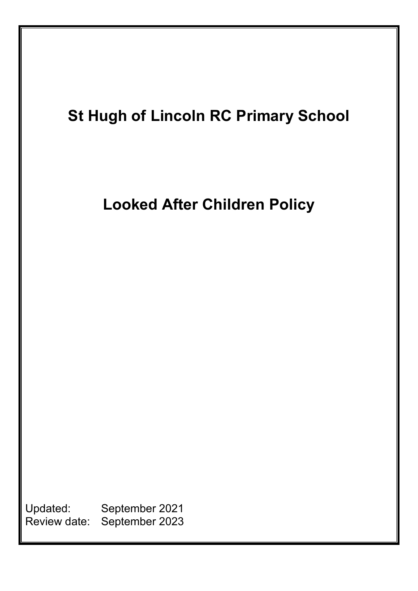

Review date: September 2023